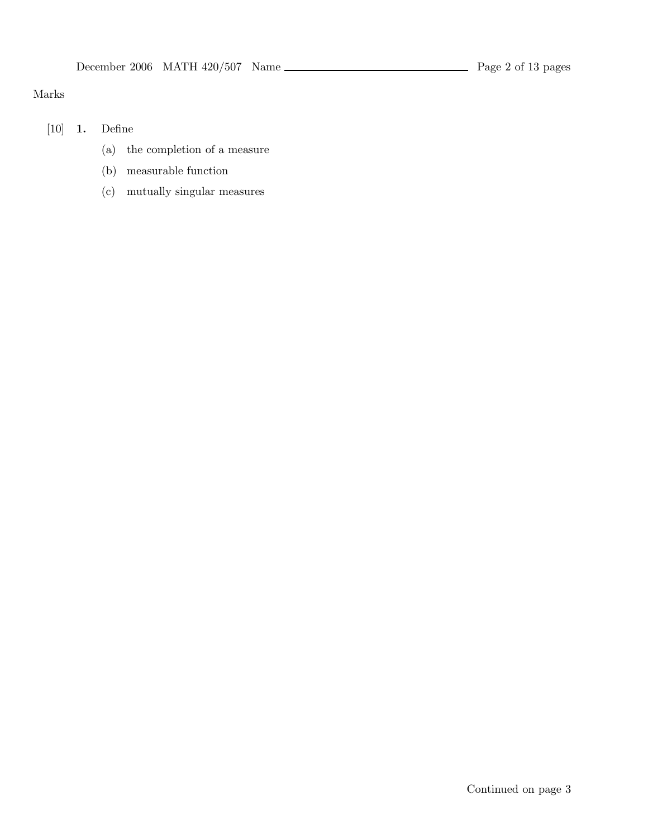## Marks

- [10] 1. Define
	- (a) the completion of a measure
	- (b) measurable function
	- (c) mutually singular measures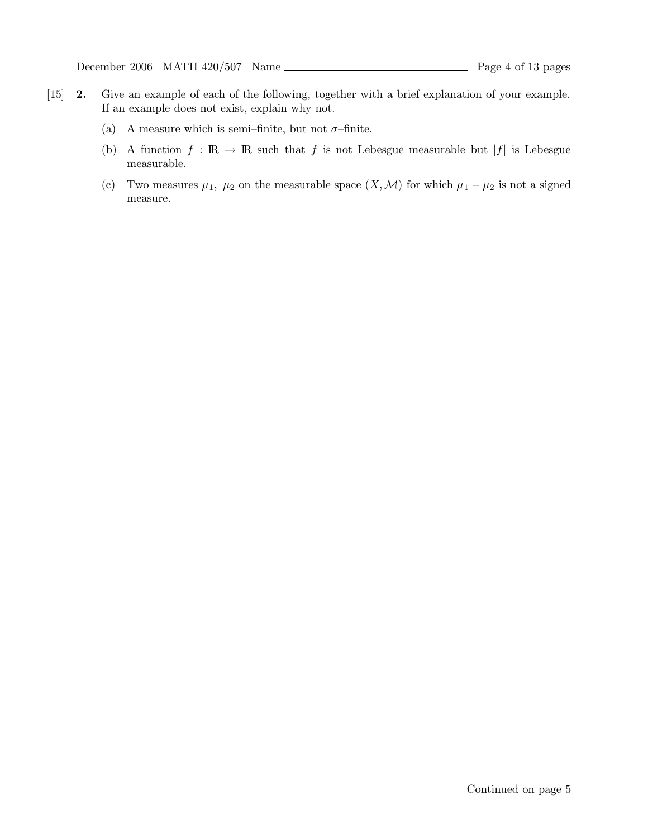- [15] 2. Give an example of each of the following, together with a brief explanation of your example. If an example does not exist, explain why not.
	- (a) A measure which is semi–finite, but not  $\sigma$ –finite.
	- (b) A function  $f : \mathbb{R} \to \mathbb{R}$  such that f is not Lebesgue measurable but |f| is Lebesgue measurable.
	- (c) Two measures  $\mu_1$ ,  $\mu_2$  on the measurable space  $(X, \mathcal{M})$  for which  $\mu_1 \mu_2$  is not a signed measure.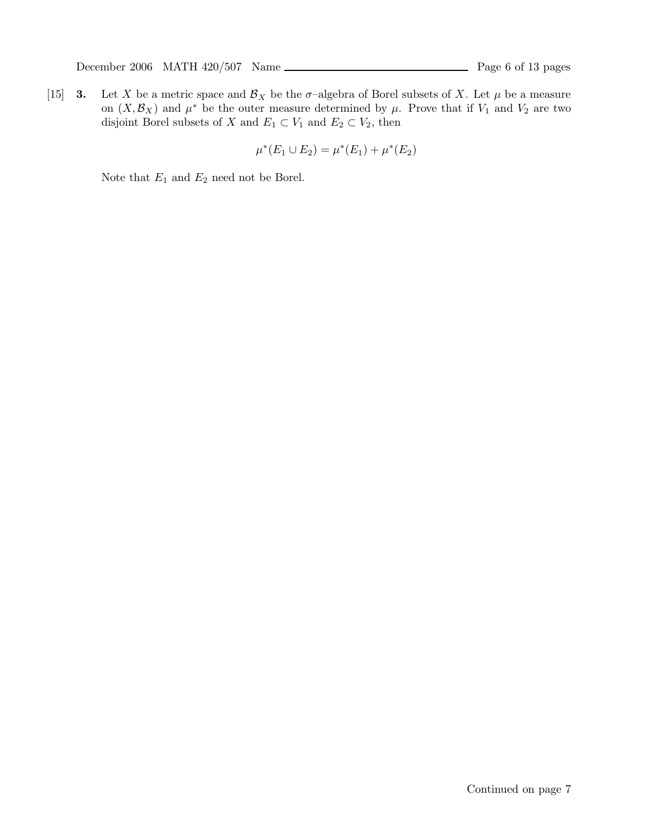[15] **3.** Let X be a metric space and  $\mathcal{B}_X$  be the  $\sigma$ -algebra of Borel subsets of X. Let  $\mu$  be a measure on  $(X,\mathcal{B}_X)$  and  $\mu^*$  be the outer measure determined by  $\mu$ . Prove that if  $V_1$  and  $V_2$  are two disjoint Borel subsets of X and  $E_1 \subset V_1$  and  $E_2 \subset V_2$ , then

$$
\mu^*(E_1 \cup E_2) = \mu^*(E_1) + \mu^*(E_2)
$$

Note that  $\mathcal{E}_1$  and  $\mathcal{E}_2$  need not be Borel.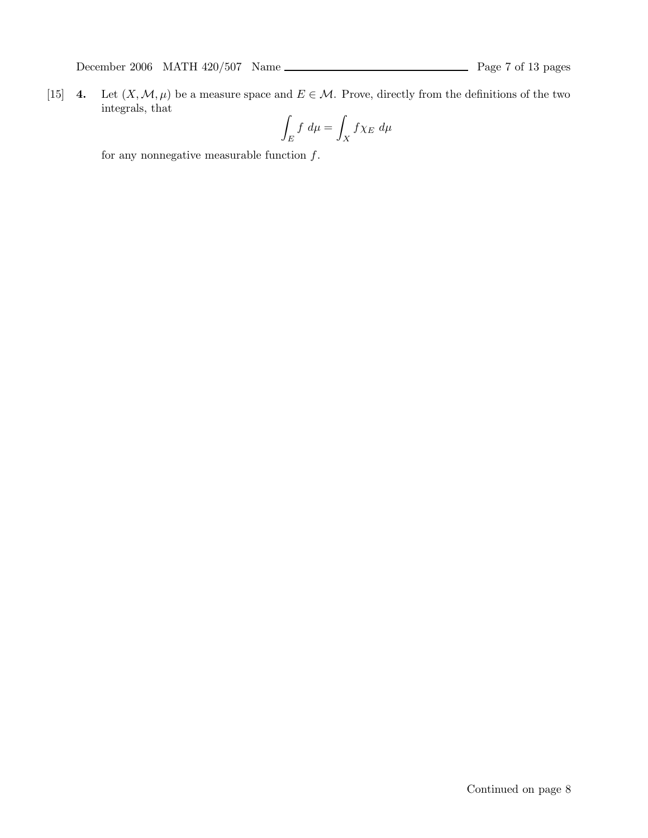[15] 4. Let  $(X, \mathcal{M}, \mu)$  be a measure space and  $E \in \mathcal{M}$ . Prove, directly from the definitions of the two integrals, that

$$
\int_E f \, d\mu = \int_X f \chi_E \, d\mu
$$

for any nonnegative measurable function  $f$ .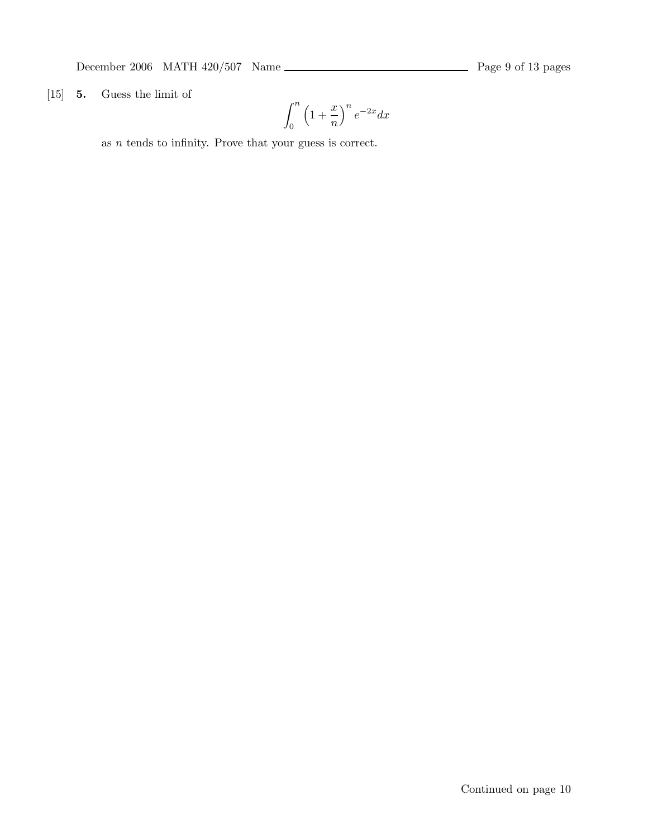December 2006 MATH 420/507 Name  $\frac{1}{2}$  Page 9 of 13 pages

[15] 5. Guess the limit of

$$
\int_0^n \left(1 + \frac{x}{n}\right)^n e^{-2x} dx
$$

as  $n$  tends to infinity. Prove that your guess is correct.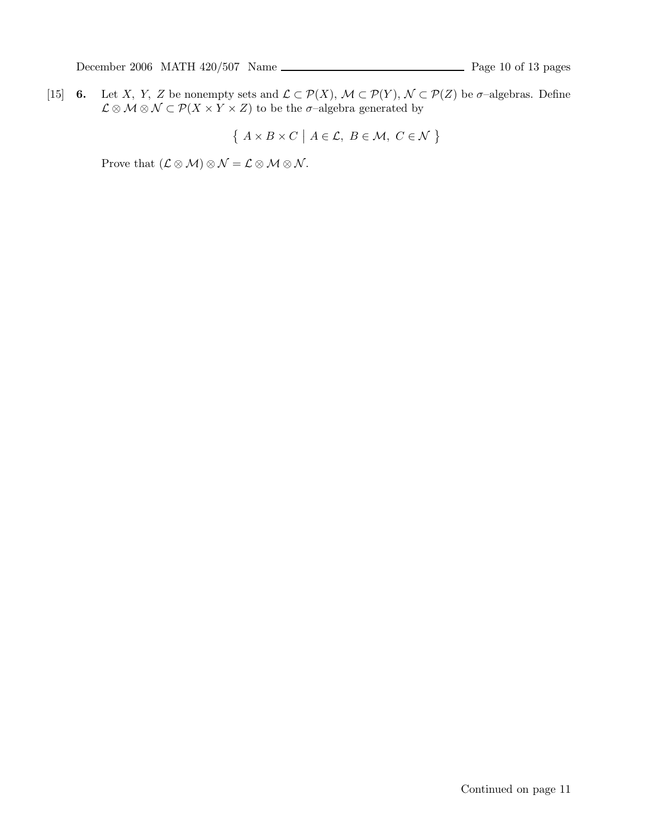[15] 6. Let X, Y, Z be nonempty sets and  $\mathcal{L} \subset \mathcal{P}(X)$ ,  $\mathcal{M} \subset \mathcal{P}(Y)$ ,  $\mathcal{N} \subset \mathcal{P}(Z)$  be  $\sigma$ -algebras. Define  $\mathcal{L} \otimes \mathcal{M} \otimes \mathcal{N} \subset \mathcal{P}(X \times Y \times Z)$  to be the  $\sigma$ -algebra generated by

$$
\{ A \times B \times C \mid A \in \mathcal{L}, B \in \mathcal{M}, C \in \mathcal{N} \}
$$

Prove that  $(\mathcal{L} \otimes \mathcal{M}) \otimes \mathcal{N} = \mathcal{L} \otimes \mathcal{M} \otimes \mathcal{N}$ .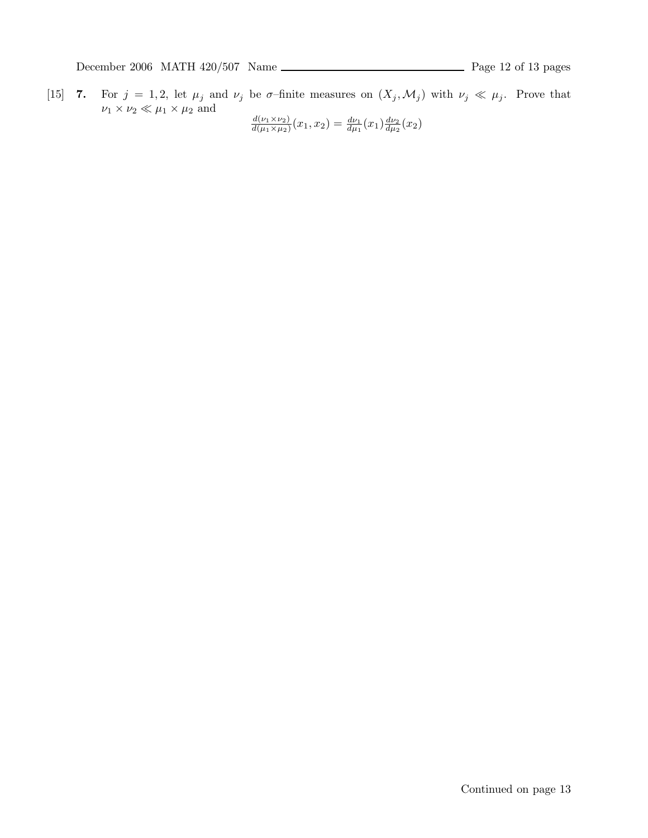[15] 7. For  $j = 1, 2$ , let  $\mu_j$  and  $\nu_j$  be  $\sigma$ -finite measures on  $(X_j, \mathcal{M}_j)$  with  $\nu_j \ll \mu_j$ . Prove that  $\nu_1 \times \nu_2 \ll \mu_1 \times \mu_2$  and<br>  $\frac{d(\nu_1 \times \nu_2)}{d(\mu_1 \times \mu_2)}(x_1, x_2) = \frac{d\nu_1}{d\mu_1}(x_1) \frac{d\nu_2}{d\mu_2}(x_2)$ 

$$
\frac{d(\nu_1 \times \nu_2)}{d(\mu_1 \times \mu_2)}(x_1, x_2) = \frac{d\nu_1}{d\mu_1}(x_1) \frac{d\nu_2}{d\mu_2}(x_2)
$$